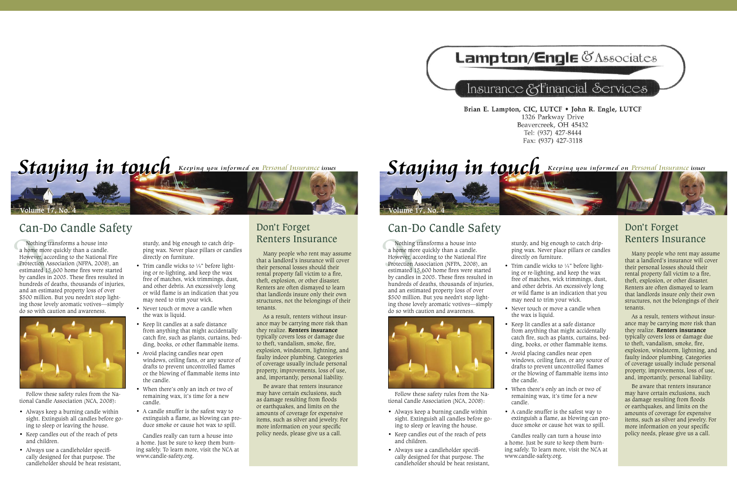## **Lampton/Engle CAssociates**

## Insurance & Financial Services

Brian E. Lampton, CIC, LUTCF . John R. Engle, LUTCF 1326 Parkway Drive Beavercreek, OH 45432 Tel: (937) 427-8444 Fax: (937) 427-3118



## Can-Do Candle Safety

Nothing<br>
a home more<br>
However, ac<br>
Protection<br>
estimated 1<br>
by candles i Nothing transforms a house into a home more quickly than a candle. However, according to the National Fire Protection Association (NFPA, 2008), an estimated 15,600 home fires were started by candles in 2005. These fires resulted in hundreds of deaths, thousands of injuries, and an estimated property loss of over \$500 million. But you needn't stop lighting those lovely aromatic votives—simply do so with caution and awareness.



Follow these safety rules from the National Candle Association (NCA, 2008):

- Always keep a burning candle within sight. Extinguish all candles before going to sleep or leaving the house.
- Keep candles out of the reach of pets and children.
- Always use a candleholder specifically designed for that purpose. The candleholder should be heat resistant,

sturdy, and big enough to catch dripping wax. Never place pillars or candles directly on furniture.

- Trim candle wicks to  $\frac{1}{4}$ " before lighting or re-lighting, and keep the wax free of matches, wick trimmings, dust, and other debris. An excessively long or wild flame is an indication that you may need to trim your wick.
- Never touch or move a candle when the wax is liquid.
- Keep lit candles at a safe distance from anything that might accidentally catch fire, such as plants, curtains, bedding, books, or other flammable items.
- Avoid placing candles near open windows, ceiling fans, or any source of drafts to prevent uncontrolled flames or the blowing of flammable items into the candle.
- When there's only an inch or two of remaining wax, it's time for a new candle.
- A candle snuffer is the safest way to extinguish a flame, as blowing can produce smoke or cause hot wax to spill.

Candles really can turn a house into a home. Just be sure to keep them burning safely. To learn more, visit the NCA at www.candle-safety.org.

### Don't Forget Renters Insurance

Many people who rent may assume that a landlord's insurance will cover their personal losses should their rental property fall victim to a fire, theft, explosion, or other disaster. Renters are often dismayed to learn that landlords insure only their own structures, not the belongings of their tenants.

As a result, renters without insurance may be carrying more risk than they realize. **Renters insurance** typically covers loss or damage due to theft, vandalism, smoke, fire, explosion, windstorm, lightning, and faulty indoor plumbing. Categories of coverage usually include personal property, improvements, loss of use, and, importantly, personal liability.

Be aware that renters insurance may have certain exclusions, such as damage resulting from floods or earthquakes, and limits on the amounts of coverage for expensive items, such as silver and jewelry. For more information on your specific policy needs, please give us a call.